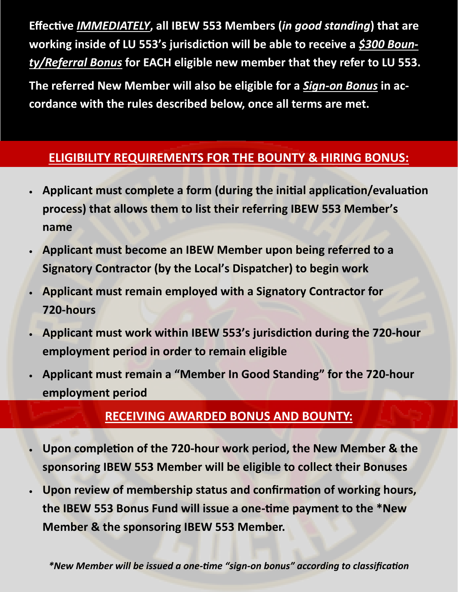**Effective** *IMMEDIATELY***, all IBEW 553 Members (***in good standing***) that are working inside of LU 553's jurisdiction will be able to receive a** *\$300 Bounty/Referral Bonus* **for EACH eligible new member that they refer to LU 553.** 

**The referred New Member will also be eligible for a** *Sign-on Bonus* **in accordance with the rules described below, once all terms are met.**

## **ELIGIBILITY REQUIREMENTS FOR THE BOUNTY & HIRING BONUS:**

- **Applicant must complete a form (during the initial application/evaluation process) that allows them to list their referring IBEW 553 Member's name**
- **Applicant must become an IBEW Member upon being referred to a Signatory Contractor (by the Local's Dispatcher) to begin work**
- **Applicant must remain employed with a Signatory Contractor for 720-hours**
- **Applicant must work within IBEW 553's jurisdiction during the 720-hour employment period in order to remain eligible**
- **Applicant must remain a "Member In Good Standing" for the 720-hour employment period**

### **RECEIVING AWARDED BONUS AND BOUNTY:**

- **Upon completion of the 720-hour work period, the New Member & the sponsoring IBEW 553 Member will be eligible to collect their Bonuses**
- **Upon review of membership status and confirmation of working hours, the IBEW 553 Bonus Fund will issue a one-time payment to the \*New Member & the sponsoring IBEW 553 Member.**

*\*New Member will be issued a one-time "sign-on bonus" according to classification*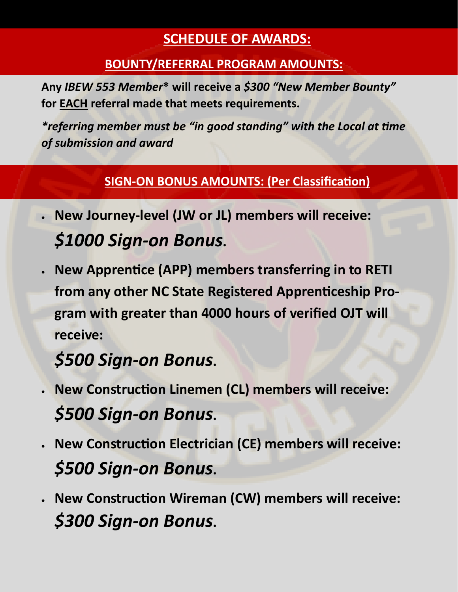# **SCHEDULE OF AWARDS:**

## **BOUNTY/REFERRAL PROGRAM AMOUNTS:**

**Any** *IBEW 553 Member***\* will receive a** *\$300 "New Member Bounty"*  **for EACH referral made that meets requirements.** 

*\*referring member must be "in good standing" with the Local at time of submission and award*

## **SIGN-ON BONUS AMOUNTS: (Per Classification)**

- **New Journey-level (JW or JL) members will receive:** *\$1000 Sign-on Bonus***.**
- **New Apprentice (APP) members transferring in to RETI from any other NC State Registered Apprenticeship Program with greater than 4000 hours of verified OJT will receive:**

# *\$500 Sign-on Bonus***.**

- **New Construction Linemen (CL) members will receive:**  *\$500 Sign-on Bonus***.**
- **New Construction Electrician (CE) members will receive:**  *\$500 Sign-on Bonus***.**
- **New Construction Wireman (CW) members will receive:**  *\$300 Sign-on Bonus***.**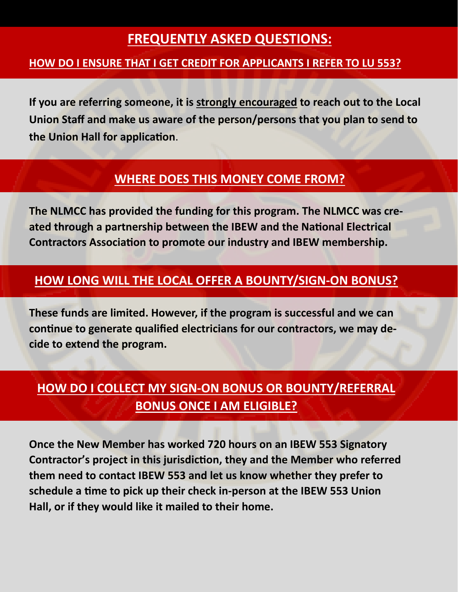# **FREQUENTLY ASKED QUESTIONS:**

#### **HOW DO I ENSURE THAT I GET CREDIT FOR APPLICANTS I REFER TO LU 553?**

**If you are referring someone, it is strongly encouraged to reach out to the Local Union Staff and make us aware of the person/persons that you plan to send to the Union Hall for application**.

### **WHERE DOES THIS MONEY COME FROM?**

**The NLMCC has provided the funding for this program. The NLMCC was created through a partnership between the IBEW and the National Electrical Contractors Association to promote our industry and IBEW membership.** 

#### **HOW LONG WILL THE LOCAL OFFER A BOUNTY/SIGN-ON BONUS?**

**These funds are limited. However, if the program is successful and we can continue to generate qualified electricians for our contractors, we may decide to extend the program.** 

# **HOW DO I COLLECT MY SIGN-ON BONUS OR BOUNTY/REFERRAL BONUS ONCE I AM ELIGIBLE?**

**Once the New Member has worked 720 hours on an IBEW 553 Signatory Contractor's project in this jurisdiction, they and the Member who referred them need to contact IBEW 553 and let us know whether they prefer to schedule a time to pick up their check in-person at the IBEW 553 Union Hall, or if they would like it mailed to their home.**